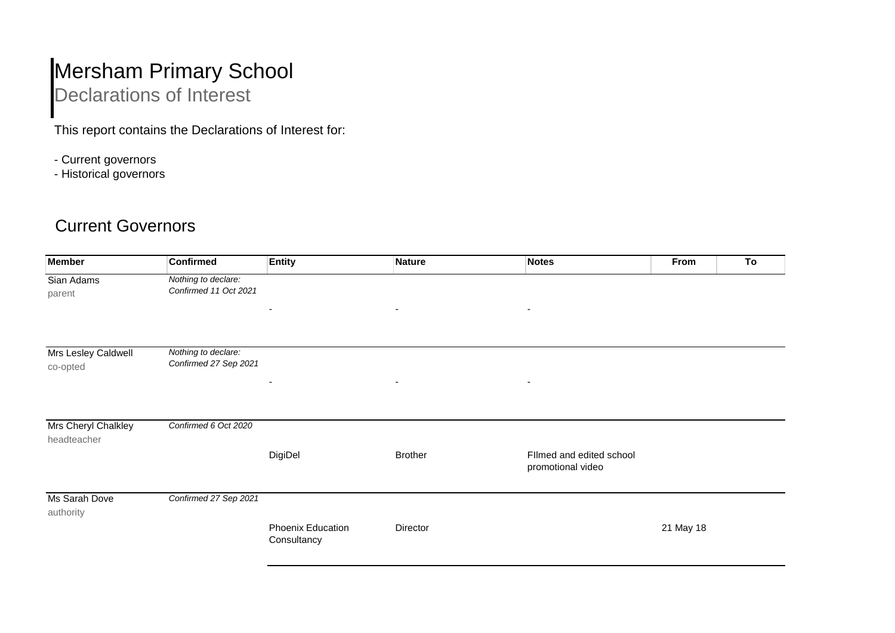## Mersham Primary School

## Declarations of Interest

This report contains the Declarations of Interest for:

- Current governors
- Historical governors

## Current Governors

| <b>Member</b>                      | <b>Confirmed</b>                             | <b>Entity</b>                    | <b>Nature</b>            | <b>Notes</b>                                  | From      | To |
|------------------------------------|----------------------------------------------|----------------------------------|--------------------------|-----------------------------------------------|-----------|----|
| Sian Adams<br>parent               | Nothing to declare:<br>Confirmed 11 Oct 2021 |                                  |                          |                                               |           |    |
|                                    |                                              | ٠                                | $\overline{\phantom{a}}$ | ٠                                             |           |    |
| Mrs Lesley Caldwell<br>co-opted    | Nothing to declare:<br>Confirmed 27 Sep 2021 |                                  |                          |                                               |           |    |
|                                    |                                              | -                                | $\overline{\phantom{a}}$ | $\overline{\phantom{a}}$                      |           |    |
| Mrs Cheryl Chalkley<br>headteacher | Confirmed 6 Oct 2020                         |                                  |                          |                                               |           |    |
|                                    |                                              | DigiDel                          | <b>Brother</b>           | Filmed and edited school<br>promotional video |           |    |
| Ms Sarah Dove<br>authority         | Confirmed 27 Sep 2021                        |                                  |                          |                                               |           |    |
|                                    |                                              | Phoenix Education<br>Consultancy | Director                 |                                               | 21 May 18 |    |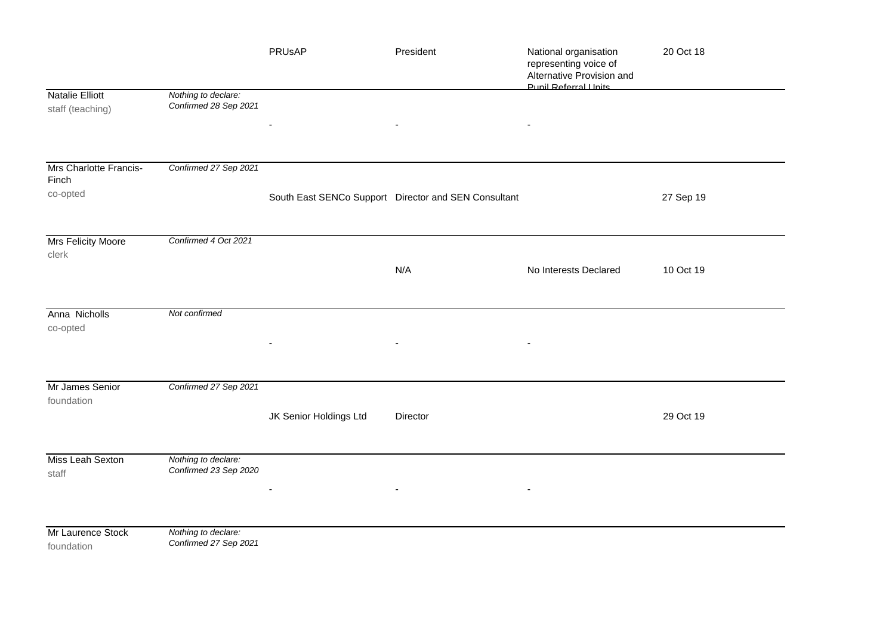|                                     |                                              | PRUsAP                 | President                                            | National organisation<br>representing voice of<br>Alternative Provision and<br><b>Punil Referral Linits</b> | 20 Oct 18 |
|-------------------------------------|----------------------------------------------|------------------------|------------------------------------------------------|-------------------------------------------------------------------------------------------------------------|-----------|
| Natalie Elliott<br>staff (teaching) | Nothing to declare:<br>Confirmed 28 Sep 2021 |                        |                                                      |                                                                                                             |           |
|                                     |                                              |                        |                                                      |                                                                                                             |           |
| Mrs Charlotte Francis-<br>Finch     | Confirmed 27 Sep 2021                        |                        |                                                      |                                                                                                             |           |
| co-opted                            |                                              |                        | South East SENCo Support Director and SEN Consultant |                                                                                                             | 27 Sep 19 |
| <b>Mrs Felicity Moore</b><br>clerk  | Confirmed 4 Oct 2021                         |                        |                                                      |                                                                                                             |           |
|                                     |                                              |                        | N/A                                                  | No Interests Declared                                                                                       | 10 Oct 19 |
| Anna Nicholls<br>co-opted           | Not confirmed                                |                        |                                                      |                                                                                                             |           |
| Mr James Senior<br>foundation       | Confirmed 27 Sep 2021                        |                        |                                                      |                                                                                                             |           |
|                                     |                                              | JK Senior Holdings Ltd | Director                                             |                                                                                                             | 29 Oct 19 |
| Miss Leah Sexton<br>staff           | Nothing to declare:<br>Confirmed 23 Sep 2020 |                        |                                                      |                                                                                                             |           |
| Mr Laurence Stock<br>foundation     | Nothing to declare:<br>Confirmed 27 Sep 2021 |                        |                                                      |                                                                                                             |           |